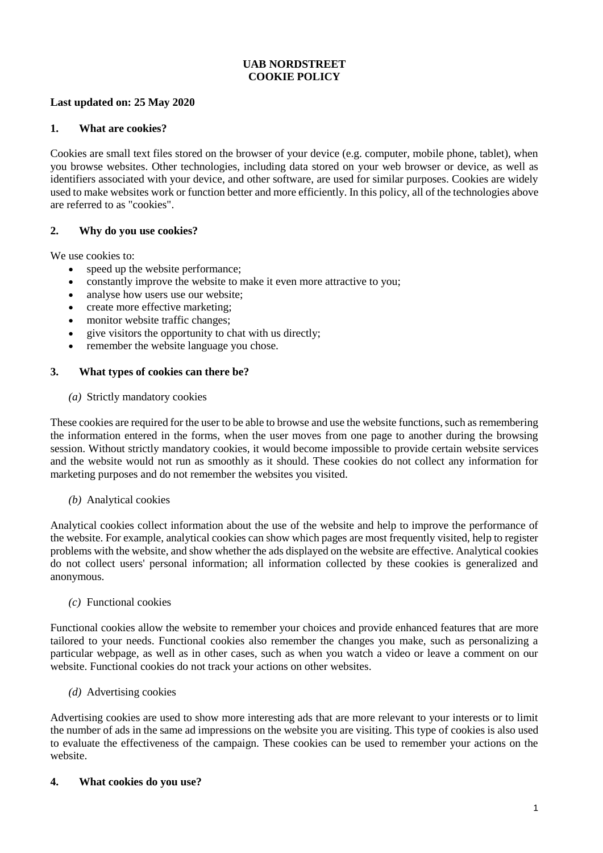# **UAB NORDSTREET COOKIE POLICY**

## **Last updated on: 25 May 2020**

# **1. What are cookies?**

Cookies are small text files stored on the browser of your device (e.g. computer, mobile phone, tablet), when you browse websites. Other technologies, including data stored on your web browser or device, as well as identifiers associated with your device, and other software, are used for similar purposes. Cookies are widely used to make websites work or function better and more efficiently. In this policy, all of the technologies above are referred to as "cookies".

## **2. Why do you use cookies?**

We use cookies to:

- speed up the website performance;
- constantly improve the website to make it even more attractive to you;
- analyse how users use our website:
- create more effective marketing:
- monitor website traffic changes;
- give visitors the opportunity to chat with us directly;
- remember the website language you chose.

## **3. What types of cookies can there be?**

*(a)* Strictly mandatory cookies

These cookies are required for the user to be able to browse and use the website functions, such as remembering the information entered in the forms, when the user moves from one page to another during the browsing session. Without strictly mandatory cookies, it would become impossible to provide certain website services and the website would not run as smoothly as it should. These cookies do not collect any information for marketing purposes and do not remember the websites you visited.

#### *(b)* Analytical cookies

Analytical cookies collect information about the use of the website and help to improve the performance of the website. For example, analytical cookies can show which pages are most frequently visited, help to register problems with the website, and show whether the ads displayed on the website are effective. Analytical cookies do not collect users' personal information; all information collected by these cookies is generalized and anonymous.

#### *(c)* Functional cookies

Functional cookies allow the website to remember your choices and provide enhanced features that are more tailored to your needs. Functional cookies also remember the changes you make, such as personalizing a particular webpage, as well as in other cases, such as when you watch a video or leave a comment on our website. Functional cookies do not track your actions on other websites.

*(d)* Advertising cookies

Advertising cookies are used to show more interesting ads that are more relevant to your interests or to limit the number of ads in the same ad impressions on the website you are visiting. This type of cookies is also used to evaluate the effectiveness of the campaign. These cookies can be used to remember your actions on the website.

#### **4. What cookies do you use?**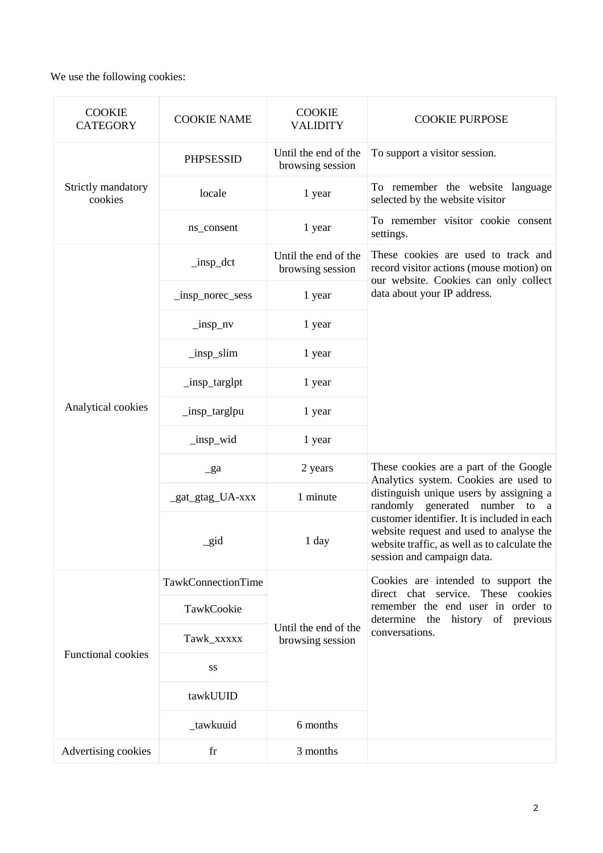We use the following cookies:

| <b>COOKIE</b><br><b>CATEGORY</b> | <b>COOKIE NAME</b>            | <b>COOKIE</b><br><b>VALIDITY</b>         | <b>COOKIE PURPOSE</b>                                                                                                                                                    |
|----------------------------------|-------------------------------|------------------------------------------|--------------------------------------------------------------------------------------------------------------------------------------------------------------------------|
| Strictly mandatory<br>cookies    | <b>PHPSESSID</b>              | Until the end of the<br>browsing session | To support a visitor session.                                                                                                                                            |
|                                  | locale                        | 1 year                                   | To remember the website language<br>selected by the website visitor                                                                                                      |
|                                  | ns_consent                    | 1 year                                   | To remember visitor cookie consent<br>settings.                                                                                                                          |
| Analytical cookies               | $_{insp\_det}$                | Until the end of the<br>browsing session | These cookies are used to track and<br>record visitor actions (mouse motion) on<br>our website. Cookies can only collect<br>data about your IP address.                  |
|                                  | _insp_norec_sess              | 1 year                                   |                                                                                                                                                                          |
|                                  | $\ln$ p=nv                    | 1 year                                   |                                                                                                                                                                          |
|                                  | $\lfloor$ insp $\lfloor$ slim | 1 year                                   |                                                                                                                                                                          |
|                                  | _insp_targlpt                 | 1 year                                   |                                                                                                                                                                          |
|                                  | _insp_targlpu                 | 1 year                                   |                                                                                                                                                                          |
|                                  | _insp_wid                     | 1 year                                   |                                                                                                                                                                          |
|                                  | $g$ a                         | 2 years                                  | These cookies are a part of the Google<br>Analytics system. Cookies are used to                                                                                          |
|                                  | _gat_gtag_UA-xxx              | 1 minute                                 | distinguish unique users by assigning a<br>randomly generated number to a                                                                                                |
|                                  | _gid                          | 1 day                                    | customer identifier. It is included in each<br>website request and used to analyse the<br>website traffic, as well as to calculate the<br>session and campaign data.     |
| <b>Functional cookies</b>        | TawkConnectionTime            | Until the end of the<br>browsing session | Cookies are intended to support the<br>direct chat service. These cookies<br>remember the end user in order to<br>history of previous<br>determine the<br>conversations. |
|                                  | TawkCookie                    |                                          |                                                                                                                                                                          |
|                                  | Tawk_xxxxx                    |                                          |                                                                                                                                                                          |
|                                  | SS                            |                                          |                                                                                                                                                                          |
|                                  | tawkUUID                      |                                          |                                                                                                                                                                          |
|                                  | _tawkuuid                     | 6 months                                 |                                                                                                                                                                          |
| Advertising cookies              | fr                            | 3 months                                 |                                                                                                                                                                          |